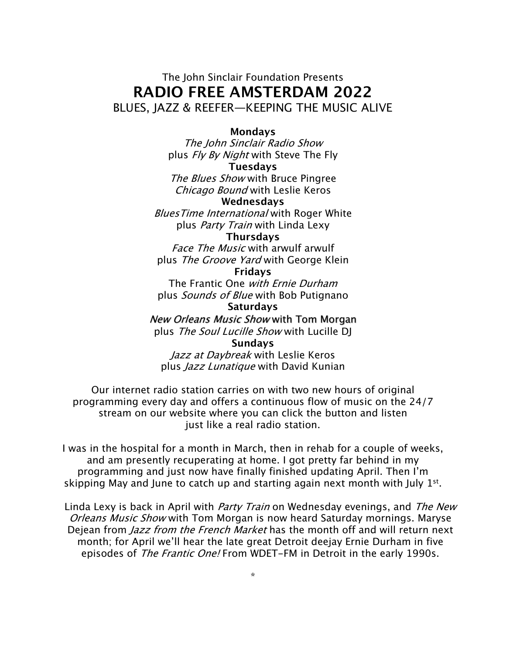## The John Sinclair Foundation Presents **RADIO FREE AMSTERDAM 2022** BLUES, JAZZ & REEFER—KEEPING THE MUSIC ALIVE

#### **Mondays**

The John Sinclair Radio Show plus *Fly By Night* with Steve The Fly

#### **Tuesdays**

The Blues Show with Bruce Pingree Chicago Bound with Leslie Keros

#### **Wednesdays**

**Blues Time International with Roger White** plus Party Train with Linda Lexy

#### **Thursdays**

Face The Music with arwulf arwulf plus The Groove Yard with George Klein

### **Fridays**

The Frantic One with Ernie Durham plus Sounds of Blue with Bob Putignano

#### **Saturdays**

New Orleans Music Show with Tom Morgan plus The Soul Lucille Show with Lucille DJ

#### **Sundays**

Jazz at Daybreak with Leslie Keros plus Jazz Lunatique with David Kunian

Our internet radio station carries on with two new hours of original programming every day and offers a continuous flow of music on the 24/7 stream on our website where you can click the button and listen just like a real radio station.

I was in the hospital for a month in March, then in rehab for a couple of weeks, and am presently recuperating at home. I got pretty far behind in my programming and just now have finally finished updating April. Then I'm skipping May and June to catch up and starting again next month with July  $1^{st}$ .

Linda Lexy is back in April with *Party Train* on Wednesday evenings, and *The New* Orleans Music Show with Tom Morgan is now heard Saturday mornings. Maryse Dejean from *Jazz from the French Market* has the month off and will return next month; for April we'll hear the late great Detroit deejay Ernie Durham in five episodes of The Frantic One! From WDET-FM in Detroit in the early 1990s.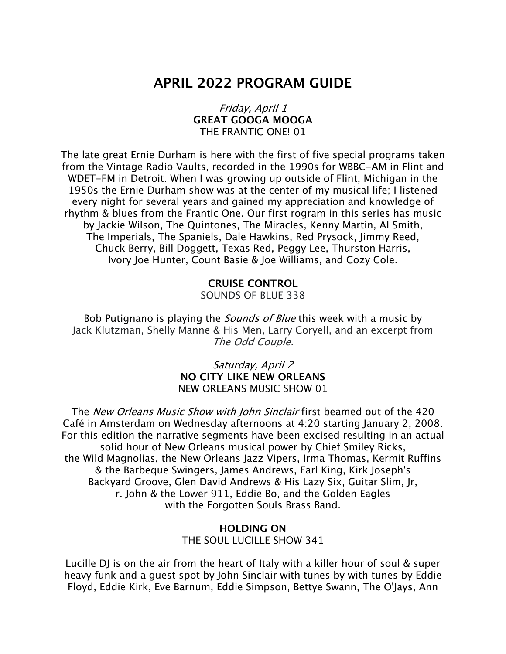# **APRIL 2022 PROGRAM GUIDE**

#### Friday, April 1 **GREAT GOOGA MOOGA** THE FRANTIC ONE! 01

The late great Ernie Durham is here with the first of five special programs taken from the Vintage Radio Vaults, recorded in the 1990s for WBBC-AM in Flint and WDET-FM in Detroit. When I was growing up outside of Flint, Michigan in the 1950s the Ernie Durham show was at the center of my musical life; I listened every night for several years and gained my appreciation and knowledge of rhythm & blues from the Frantic One. Our first rogram in this series has music by Jackie Wilson, The Quintones, The Miracles, Kenny Martin, Al Smith, The Imperials, The Spaniels, Dale Hawkins, Red Prysock, Jimmy Reed, Chuck Berry, Bill Doggett, Texas Red, Peggy Lee, Thurston Harris, Ivory Joe Hunter, Count Basie & Joe Williams, and Cozy Cole.

> **CRUISE CONTROL** SOUNDS OF BLUE 338

Bob Putignano is playing the *Sounds of Blue* this week with a music by Jack Klutzman, Shelly Manne & His Men, Larry Coryell, and an excerpt from The Odd Couple.

> Saturday, April 2 **NO CITY LIKE NEW ORLEANS** NEW ORLEANS MUSIC SHOW 01

The *New Orleans Music Show with John Sinclair* first beamed out of the 420 Café in Amsterdam on Wednesday afternoons at 4:20 starting January 2, 2008. For this edition the narrative segments have been excised resulting in an actual solid hour of New Orleans musical power by Chief Smiley Ricks, the Wild Magnolias, the New Orleans Jazz Vipers, Irma Thomas, Kermit Ruffins & the Barbeque Swingers, James Andrews, Earl King, Kirk Joseph's Backyard Groove, Glen David Andrews & His Lazy Six, Guitar Slim, Jr, r. John & the Lower 911, Eddie Bo, and the Golden Eagles with the Forgotten Souls Brass Band.

#### **HOLDING ON** THE SOUL LUCILLE SHOW 341

Lucille DJ is on the air from the heart of Italy with a killer hour of soul & super heavy funk and a guest spot by John Sinclair with tunes by with tunes by Eddie Floyd, Eddie Kirk, Eve Barnum, Eddie Simpson, Bettye Swann, The O'Jays, Ann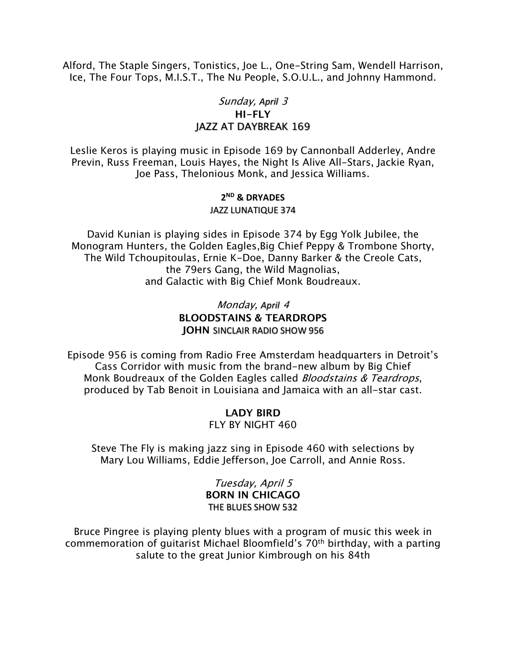Alford, The Staple Singers, Tonistics, Joe L., One-String Sam, Wendell Harrison, Ice, The Four Tops, M.I.S.T., The Nu People, S.O.U.L., and Johnny Hammond.

### Sunday, *April* 3 **HI-FLY** JAZZ AT DAYBREAK 169

Leslie Keros is playing music in Episode 169 by Cannonball Adderley, Andre Previn, Russ Freeman, Louis Hayes, the Night Is Alive All-Stars, Jackie Ryan, Joe Pass, Thelonious Monk, and Jessica Williams.

#### **2ND & DRYADES**

#### JAZZ LUNATIQUE 374

David Kunian is playing sides in Episode 374 by Egg Yolk Jubilee, the Monogram Hunters, the Golden Eagles,Big Chief Peppy & Trombone Shorty, The Wild Tchoupitoulas, Ernie K-Doe, Danny Barker & the Creole Cats, the 79ers Gang, the Wild Magnolias, and Galactic with Big Chief Monk Boudreaux.

### Monday, *April* 4 **BLOODSTAINS & TEARDROPS JOHN** SINCLAIR RADIO SHOW 956

Episode 956 is coming from Radio Free Amsterdam headquarters in Detroit's Cass Corridor with music from the brand-new album by Big Chief Monk Boudreaux of the Golden Eagles called *Bloodstains & Teardrops*, produced by Tab Benoit in Louisiana and Jamaica with an all-star cast.

## **LADY BIRD**

FLY BY NIGHT 460

Steve The Fly is making jazz sing in Episode 460 with selections by Mary Lou Williams, Eddie Jefferson, Joe Carroll, and Annie Ross.

> Tuesday, April 5 **BORN IN CHICAGO** THE BLUES SHOW 532

Bruce Pingree is playing plenty blues with a program of music this week in commemoration of guitarist Michael Bloomfield's 70th birthday, with a parting salute to the great Junior Kimbrough on his 84th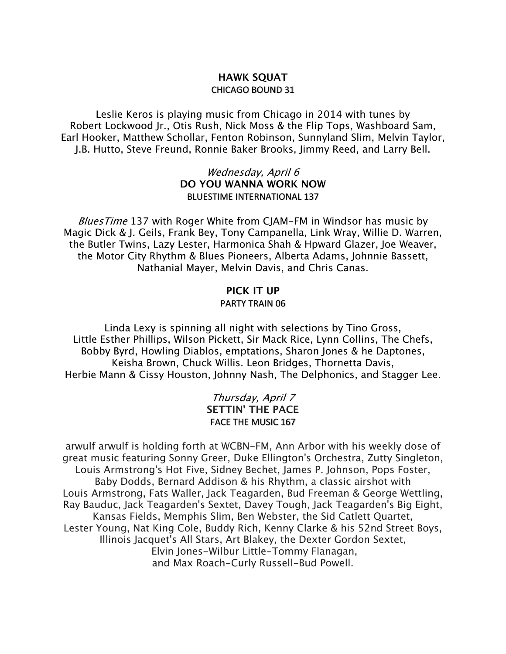### **HAWK SQUAT** CHICAGO BOUND 31

Leslie Keros is playing music from Chicago in 2014 with tunes by Robert Lockwood Jr., Otis Rush, Nick Moss & the Flip Tops, Washboard Sam, Earl Hooker, Matthew Schollar, Fenton Robinson, Sunnyland Slim, Melvin Taylor, J.B. Hutto, Steve Freund, Ronnie Baker Brooks, Jimmy Reed, and Larry Bell.

### Wednesday, April 6 **DO YOU WANNA WORK NOW** BLUESTIME INTERNATIONAL 137

Blues Time 137 with Roger White from CJAM-FM in Windsor has music by Magic Dick & J. Geils, Frank Bey, Tony Campanella, Link Wray, Willie D. Warren, the Butler Twins, Lazy Lester, Harmonica Shah & Hpward Glazer, Joe Weaver, the Motor City Rhythm & Blues Pioneers, Alberta Adams, Johnnie Bassett, Nathanial Mayer, Melvin Davis, and Chris Canas.

## **PICK IT UP**

#### PARTY TRAIN 06

Linda Lexy is spinning all night with selections by Tino Gross, Little Esther Phillips, Wilson Pickett, Sir Mack Rice, Lynn Collins, The Chefs, Bobby Byrd, Howling Diablos, emptations, Sharon Jones & he Daptones, Keisha Brown, Chuck Willis. Leon Bridges, Thornetta Davis, Herbie Mann & Cissy Houston, Johnny Nash, The Delphonics, and Stagger Lee.

### Thursday, April 7 **SETTIN' THE PACE** FACE THE MUSIC 167

arwulf arwulf is holding forth at WCBN-FM, Ann Arbor with his weekly dose of great music featuring Sonny Greer, Duke Ellington's Orchestra, Zutty Singleton, Louis Armstrong's Hot Five, Sidney Bechet, James P. Johnson, Pops Foster, Baby Dodds, Bernard Addison & his Rhythm, a classic airshot with Louis Armstrong, Fats Waller, Jack Teagarden, Bud Freeman & George Wettling, Ray Bauduc, Jack Teagarden's Sextet, Davey Tough, Jack Teagarden's Big Eight, Kansas Fields, Memphis Slim, Ben Webster, the Sid Catlett Quartet, Lester Young, Nat King Cole, Buddy Rich, Kenny Clarke & his 52nd Street Boys, Illinois Jacquet's All Stars, Art Blakey, the Dexter Gordon Sextet, Elvin Jones-Wilbur Little-Tommy Flanagan, and Max Roach-Curly Russell-Bud Powell.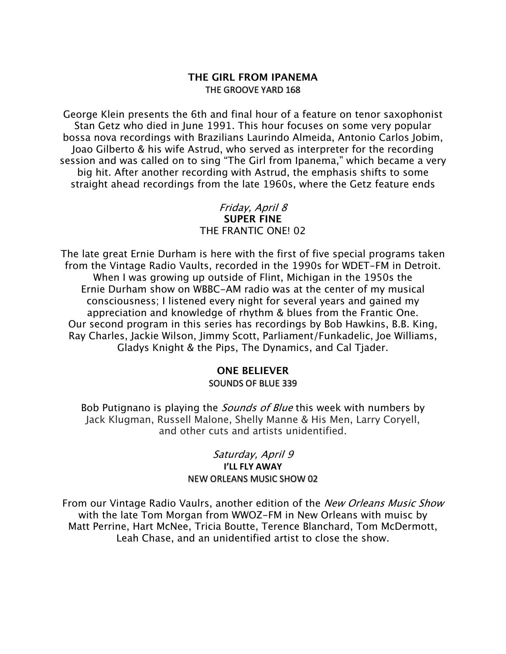#### **THE GIRL FROM IPANEMA** THE GROOVE YARD 168

George Klein presents the 6th and final hour of a feature on tenor saxophonist Stan Getz who died in June 1991. This hour focuses on some very popular bossa nova recordings with Brazilians Laurindo Almeida, Antonio Carlos Jobim, Joao Gilberto & his wife Astrud, who served as interpreter for the recording session and was called on to sing "The Girl from Ipanema," which became a very big hit. After another recording with Astrud, the emphasis shifts to some straight ahead recordings from the late 1960s, where the Getz feature ends

### Friday, April 8 **SUPER FINE** THE FRANTIC ONE! 02

The late great Ernie Durham is here with the first of five special programs taken from the Vintage Radio Vaults, recorded in the 1990s for WDET-FM in Detroit. When I was growing up outside of Flint, Michigan in the 1950s the Ernie Durham show on WBBC-AM radio was at the center of my musical consciousness; I listened every night for several years and gained my appreciation and knowledge of rhythm & blues from the Frantic One. Our second program in this series has recordings by Bob Hawkins, B.B. King, Ray Charles, Jackie Wilson, Jimmy Scott, Parliament/Funkadelic, Joe Williams, Gladys Knight & the Pips, The Dynamics, and Cal Tjader.

### **ONE BELIEVER**

#### SOUNDS OF BLUE 339

Bob Putignano is playing the *Sounds of Blue* this week with numbers by Jack Klugman, Russell Malone, Shelly Manne & His Men, Larry Coryell, and other cuts and artists unidentified.

### Saturday, April 9 **I'LL FLY AWAY** NEW ORLEANS MUSIC SHOW 02

From our Vintage Radio Vaulrs, another edition of the New Orleans Music Show with the late Tom Morgan from WWOZ-FM in New Orleans with muisc by Matt Perrine, Hart McNee, Tricia Boutte, Terence Blanchard, Tom McDermott, Leah Chase, and an unidentified artist to close the show.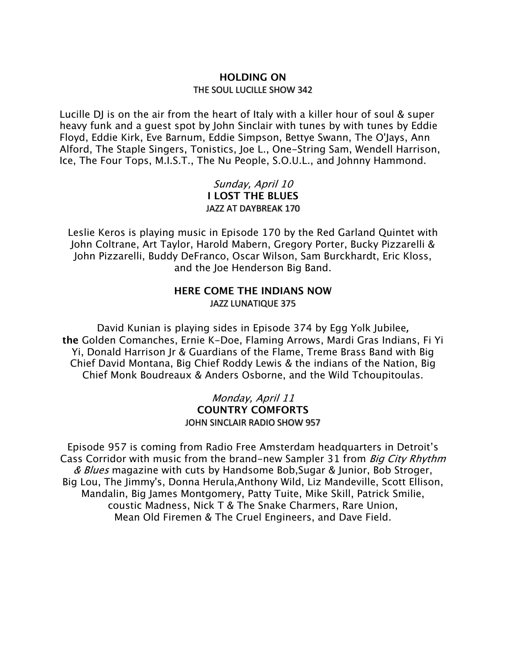### **HOLDING ON** THE SOUL LUCILLE SHOW 342

Lucille DJ is on the air from the heart of Italy with a killer hour of soul & super heavy funk and a guest spot by John Sinclair with tunes by with tunes by Eddie Floyd, Eddie Kirk, Eve Barnum, Eddie Simpson, Bettye Swann, The O'Jays, Ann Alford, The Staple Singers, Tonistics, Joe L., One-String Sam, Wendell Harrison, Ice, The Four Tops, M.I.S.T., The Nu People, S.O.U.L., and Johnny Hammond.

### Sunday, April 10 **I LOST THE BLUES** JAZZ AT DAYBREAK 170

Leslie Keros is playing music in Episode 170 by the Red Garland Quintet with John Coltrane, Art Taylor, Harold Mabern, Gregory Porter, Bucky Pizzarelli & John Pizzarelli, Buddy DeFranco, Oscar Wilson, Sam Burckhardt, Eric Kloss, and the Joe Henderson Big Band.

### **HERE COME THE INDIANS NOW** JAZZ LUNATIQUE 375

David Kunian is playing sides in Episode 374 by Egg Yolk Jubilee**, the** Golden Comanches, Ernie K-Doe, Flaming Arrows, Mardi Gras Indians, Fi Yi Yi, Donald Harrison Jr & Guardians of the Flame, Treme Brass Band with Big Chief David Montana, Big Chief Roddy Lewis & the indians of the Nation, Big Chief Monk Boudreaux & Anders Osborne, and the Wild Tchoupitoulas.

> Monday, April 11 **COUNTRY COMFORTS** JOHN SINCLAIR RADIO SHOW 957

Episode 957 is coming from Radio Free Amsterdam headquarters in Detroit's Cass Corridor with music from the brand-new Sampler 31 from *Big City Rhythm* & *Blues* magazine with cuts by Handsome Bob, Sugar & Junior, Bob Stroger, Big Lou, The Jimmy's, Donna Herula,Anthony Wild, Liz Mandeville, Scott Ellison, Mandalin, Big James Montgomery, Patty Tuite, Mike Skill, Patrick Smilie, coustic Madness, Nick T & The Snake Charmers, Rare Union, Mean Old Firemen & The Cruel Engineers, and Dave Field.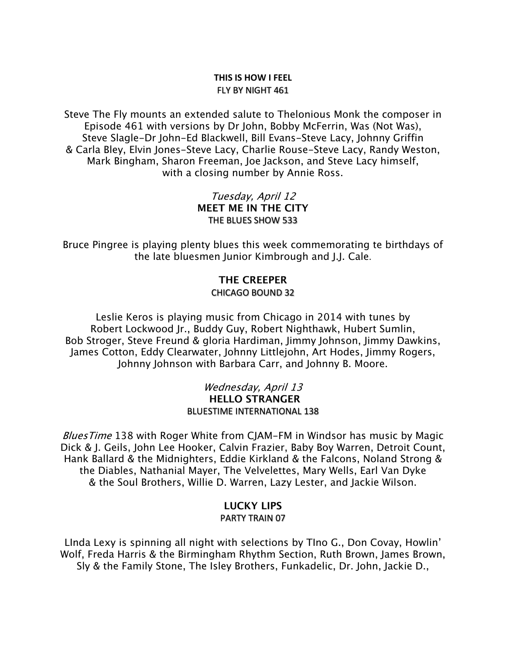#### **THIS IS HOW I FEEL** FLY BY NIGHT 461

Steve The Fly mounts an extended salute to Thelonious Monk the composer in Episode 461 with versions by Dr John, Bobby McFerrin, Was (Not Was), Steve Slagle-Dr John-Ed Blackwell, Bill Evans-Steve Lacy, Johnny Griffin & Carla Bley, Elvin Jones-Steve Lacy, Charlie Rouse-Steve Lacy, Randy Weston, Mark Bingham, Sharon Freeman, Joe Jackson, and Steve Lacy himself, with a closing number by Annie Ross.

### Tuesday, April 12 **MEET ME IN THE CITY** THE BLUES SHOW 533

Bruce Pingree is playing plenty blues this week commemorating te birthdays of the late bluesmen Junior Kimbrough and J.J. Cale.

### **THE CREEPER**

CHICAGO BOUND 32

Leslie Keros is playing music from Chicago in 2014 with tunes by Robert Lockwood Jr., Buddy Guy, Robert Nighthawk, Hubert Sumlin, Bob Stroger, Steve Freund & gloria Hardiman, Jimmy Johnson, Jimmy Dawkins, James Cotton, Eddy Clearwater, Johnny Littlejohn, Art Hodes, Jimmy Rogers, Johnny Johnson with Barbara Carr, and Johnny B. Moore.

#### Wednesday, April 13 **HELLO STRANGER** BLUESTIME INTERNATIONAL 138

Blues Time 138 with Roger White from CJAM-FM in Windsor has music by Magic Dick & J. Geils, John Lee Hooker, Calvin Frazier, Baby Boy Warren, Detroit Count, Hank Ballard & the Midnighters, Eddie Kirkland & the Falcons, Noland Strong & the Diables, Nathanial Mayer, The Velvelettes, Mary Wells, Earl Van Dyke & the Soul Brothers, Willie D. Warren, Lazy Lester, and Jackie Wilson.

#### **LUCKY LIPS** PARTY TRAIN 07

LInda Lexy is spinning all night with selections by TIno G., Don Covay, Howlin' Wolf, Freda Harris & the Birmingham Rhythm Section, Ruth Brown, James Brown, Sly & the Family Stone, The Isley Brothers, Funkadelic, Dr. John, Jackie D.,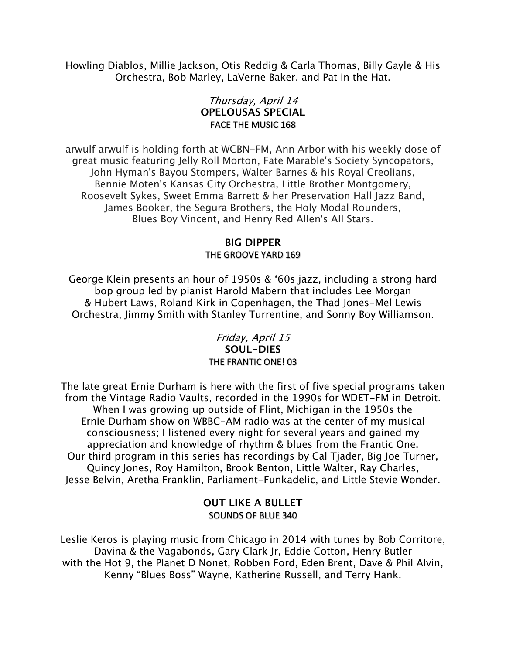Howling Diablos, Millie Jackson, Otis Reddig & Carla Thomas, Billy Gayle & His Orchestra, Bob Marley, LaVerne Baker, and Pat in the Hat.

### Thursday, April 14 **OPELOUSAS SPECIAL** FACE THE MUSIC 168

arwulf arwulf is holding forth at WCBN-FM, Ann Arbor with his weekly dose of great music featuring Jelly Roll Morton, Fate Marable's Society Syncopators, John Hyman's Bayou Stompers, Walter Barnes & his Royal Creolians, Bennie Moten's Kansas City Orchestra, Little Brother Montgomery, Roosevelt Sykes, Sweet Emma Barrett & her Preservation Hall Jazz Band, James Booker, the Segura Brothers, the Holy Modal Rounders, Blues Boy Vincent, and Henry Red Allen's All Stars.

#### **BIG DIPPER** THE GROOVE YARD 169

George Klein presents an hour of 1950s & '60s jazz, including a strong hard bop group led by pianist Harold Mabern that includes Lee Morgan & Hubert Laws, Roland Kirk in Copenhagen, the Thad Jones-Mel Lewis Orchestra, Jimmy Smith with Stanley Turrentine, and Sonny Boy Williamson.

### Friday, April 15 **SOUL-DIES** THE FRANTIC ONE! 03

The late great Ernie Durham is here with the first of five special programs taken from the Vintage Radio Vaults, recorded in the 1990s for WDET-FM in Detroit. When I was growing up outside of Flint, Michigan in the 1950s the Ernie Durham show on WBBC-AM radio was at the center of my musical consciousness; I listened every night for several years and gained my appreciation and knowledge of rhythm & blues from the Frantic One. Our third program in this series has recordings by Cal Tjader, Big Joe Turner, Quincy Jones, Roy Hamilton, Brook Benton, Little Walter, Ray Charles, Jesse Belvin, Aretha Franklin, Parliament-Funkadelic, and Little Stevie Wonder.

### **OUT LIKE A BULLET** SOUNDS OF BLUE 340

Leslie Keros is playing music from Chicago in 2014 with tunes by Bob Corritore, Davina & the Vagabonds, Gary Clark Jr, Eddie Cotton, Henry Butler with the Hot 9, the Planet D Nonet, Robben Ford, Eden Brent, Dave & Phil Alvin, Kenny "Blues Boss" Wayne, Katherine Russell, and Terry Hank.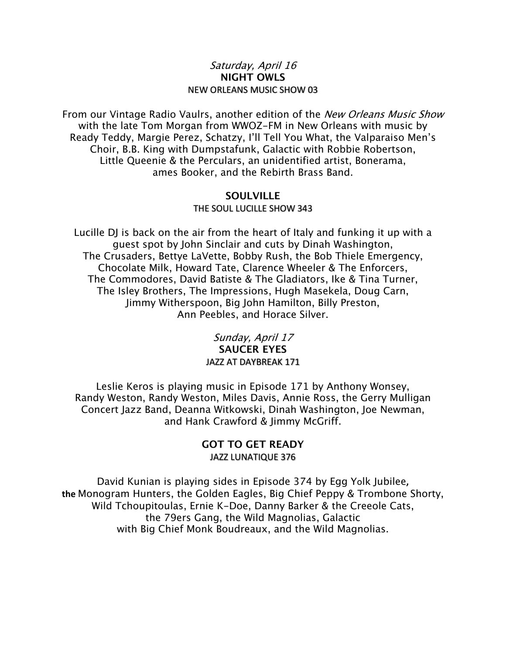#### Saturday, April 16 **NIGHT OWLS** NEW ORLEANS MUSIC SHOW 03

From our Vintage Radio Vaulrs, another edition of the New Orleans Music Show with the late Tom Morgan from WWOZ-FM in New Orleans with music by Ready Teddy, Margie Perez, Schatzy, I'll Tell You What, the Valparaiso Men's Choir, B.B. King with Dumpstafunk, Galactic with Robbie Robertson, Little Queenie & the Perculars, an unidentified artist, Bonerama, ames Booker, and the Rebirth Brass Band.

#### **SOULVILLE** THE SOUL LUCILLE SHOW 343

Lucille DJ is back on the air from the heart of Italy and funking it up with a guest spot by John Sinclair and cuts by Dinah Washington, The Crusaders, Bettye LaVette, Bobby Rush, the Bob Thiele Emergency, Chocolate Milk, Howard Tate, Clarence Wheeler & The Enforcers, The Commodores, David Batiste & The Gladiators, Ike & Tina Turner, The Isley Brothers, The Impressions, Hugh Masekela, Doug Carn, Jimmy Witherspoon, Big John Hamilton, Billy Preston, Ann Peebles, and Horace Silver.

### Sunday, April 17 **SAUCER EYES** JAZZ AT DAYBREAK 171

Leslie Keros is playing music in Episode 171 by Anthony Wonsey, Randy Weston, Randy Weston, Miles Davis, Annie Ross, the Gerry Mulligan Concert Jazz Band, Deanna Witkowski, Dinah Washington, Joe Newman, and Hank Crawford & Jimmy McGriff.

### **GOT TO GET READY** JAZZ LUNATIQUE 376

David Kunian is playing sides in Episode 374 by Egg Yolk Jubilee**, the** Monogram Hunters, the Golden Eagles, Big Chief Peppy & Trombone Shorty, Wild Tchoupitoulas, Ernie K-Doe, Danny Barker & the Creeole Cats, the 79ers Gang, the Wild Magnolias, Galactic with Big Chief Monk Boudreaux, and the Wild Magnolias.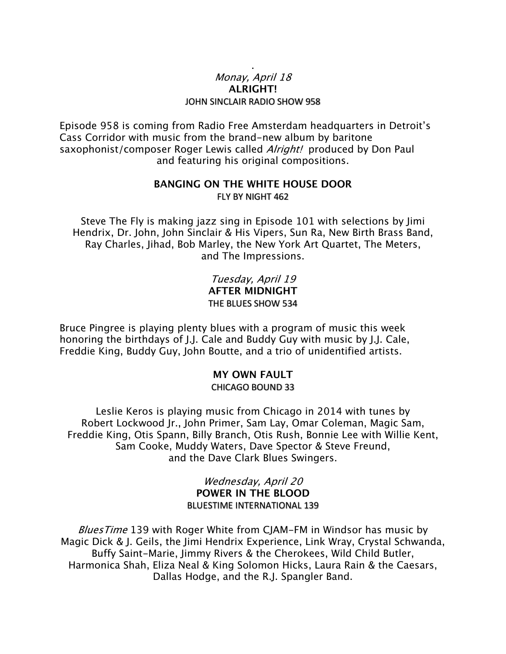### Monay, April 18 **ALRIGHT!** JOHN SINCLAIR RADIO SHOW 958

.

Episode 958 is coming from Radio Free Amsterdam headquarters in Detroit's Cass Corridor with music from the brand-new album by baritone saxophonist/composer Roger Lewis called *Alright!* produced by Don Paul and featuring his original compositions.

### **BANGING ON THE WHITE HOUSE DOOR** FLY BY NIGHT 462

Steve The Fly is making jazz sing in Episode 101 with selections by Jimi Hendrix, Dr. John, John Sinclair & His Vipers, Sun Ra, New Birth Brass Band, Ray Charles, Jihad, Bob Marley, the New York Art Quartet, The Meters, and The Impressions.

> Tuesday, April 19 **AFTER MIDNIGHT** THE BLUES SHOW 534

Bruce Pingree is playing plenty blues with a program of music this week honoring the birthdays of J.J. Cale and Buddy Guy with music by J.J. Cale, Freddie King, Buddy Guy, John Boutte, and a trio of unidentified artists.

#### **MY OWN FAULT** CHICAGO BOUND 33

Leslie Keros is playing music from Chicago in 2014 with tunes by Robert Lockwood Jr., John Primer, Sam Lay, Omar Coleman, Magic Sam, Freddie King, Otis Spann, Billy Branch, Otis Rush, Bonnie Lee with Willie Kent, Sam Cooke, Muddy Waters, Dave Spector & Steve Freund, and the Dave Clark Blues Swingers.

> Wednesday, April 20 **POWER IN THE BLOOD** BLUESTIME INTERNATIONAL 139

Blues Time 139 with Roger White from CJAM-FM in Windsor has music by Magic Dick & J. Geils, the Jimi Hendrix Experience, Link Wray, Crystal Schwanda, Buffy Saint-Marie, Jimmy Rivers & the Cherokees, Wild Child Butler, Harmonica Shah, Eliza Neal & King Solomon Hicks, Laura Rain & the Caesars, Dallas Hodge, and the R.J. Spangler Band.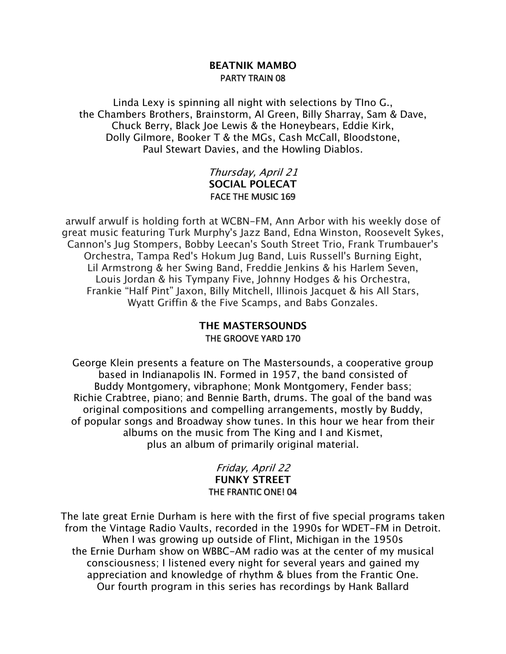#### **BEATNIK MAMBO** PARTY TRAIN 08

Linda Lexy is spinning all night with selections by TIno G., the Chambers Brothers, Brainstorm, Al Green, Billy Sharray, Sam & Dave, Chuck Berry, Black Joe Lewis & the Honeybears, Eddie Kirk, Dolly Gilmore, Booker T & the MGs, Cash McCall, Bloodstone, Paul Stewart Davies, and the Howling Diablos.

### Thursday, April 21 **SOCIAL POLECAT** FACE THE MUSIC 169

arwulf arwulf is holding forth at WCBN-FM, Ann Arbor with his weekly dose of great music featuring Turk Murphy's Jazz Band, Edna Winston, Roosevelt Sykes, Cannon's Jug Stompers, Bobby Leecan's South Street Trio, Frank Trumbauer's Orchestra, Tampa Red's Hokum Jug Band, Luis Russell's Burning Eight, Lil Armstrong & her Swing Band, Freddie Jenkins & his Harlem Seven, Louis Jordan & his Tympany Five, Johnny Hodges & his Orchestra, Frankie "Half Pint" Jaxon, Billy Mitchell, Illinois Jacquet & his All Stars, Wyatt Griffin & the Five Scamps, and Babs Gonzales.

### **THE MASTERSOUNDS** THE GROOVE YARD 170

George Klein presents a feature on The Mastersounds, a cooperative group based in Indianapolis IN. Formed in 1957, the band consisted of Buddy Montgomery, vibraphone; Monk Montgomery, Fender bass; Richie Crabtree, piano; and Bennie Barth, drums. The goal of the band was original compositions and compelling arrangements, mostly by Buddy, of popular songs and Broadway show tunes. In this hour we hear from their albums on the music from The King and I and Kismet, plus an album of primarily original material.

### Friday, April 22 **FUNKY STREET** THE FRANTIC ONE! 04

The late great Ernie Durham is here with the first of five special programs taken from the Vintage Radio Vaults, recorded in the 1990s for WDET-FM in Detroit. When I was growing up outside of Flint, Michigan in the 1950s the Ernie Durham show on WBBC-AM radio was at the center of my musical consciousness; I listened every night for several years and gained my appreciation and knowledge of rhythm & blues from the Frantic One. Our fourth program in this series has recordings by Hank Ballard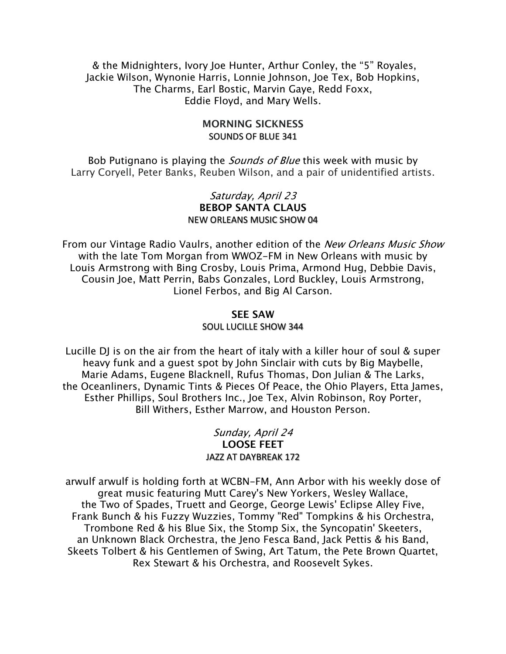& the Midnighters, Ivory Joe Hunter, Arthur Conley, the "5" Royales, Jackie Wilson, Wynonie Harris, Lonnie Johnson, Joe Tex, Bob Hopkins, The Charms, Earl Bostic, Marvin Gaye, Redd Foxx, Eddie Floyd, and Mary Wells.

#### **MORNING SICKNESS** SOUNDS OF BLUE 341

Bob Putignano is playing the *Sounds of Blue* this week with music by Larry Coryell, Peter Banks, Reuben Wilson, and a pair of unidentified artists.

#### Saturday, April 23 **BEBOP SANTA CLAUS** NEW ORLEANS MUSIC SHOW 04

From our Vintage Radio Vaulrs, another edition of the *New Orleans Music Show* with the late Tom Morgan from WWOZ-FM in New Orleans with music by Louis Armstrong with Bing Crosby, Louis Prima, Armond Hug, Debbie Davis, Cousin Joe, Matt Perrin, Babs Gonzales, Lord Buckley, Louis Armstrong, Lionel Ferbos, and Big Al Carson.

#### **SEE SAW** SOUL LUCILLE SHOW 344

Lucille DJ is on the air from the heart of italy with a killer hour of soul & super heavy funk and a guest spot by John Sinclair with cuts by Big Maybelle, Marie Adams, Eugene Blacknell, Rufus Thomas, Don Julian & The Larks, the Oceanliners, Dynamic Tints & Pieces Of Peace, the Ohio Players, Etta James, Esther Phillips, Soul Brothers Inc., Joe Tex, Alvin Robinson, Roy Porter, Bill Withers, Esther Marrow, and Houston Person.

### Sunday, April 24 **LOOSE FEET** JAZZ AT DAYBREAK 172

arwulf arwulf is holding forth at WCBN-FM, Ann Arbor with his weekly dose of great music featuring Mutt Carey's New Yorkers, Wesley Wallace, the Two of Spades, Truett and George, George Lewis' Eclipse Alley Five, Frank Bunch & his Fuzzy Wuzzies, Tommy "Red" Tompkins & his Orchestra, Trombone Red & his Blue Six, the Stomp Six, the Syncopatin' Skeeters, an Unknown Black Orchestra, the Jeno Fesca Band, Jack Pettis & his Band, Skeets Tolbert & his Gentlemen of Swing, Art Tatum, the Pete Brown Quartet, Rex Stewart & his Orchestra, and Roosevelt Sykes.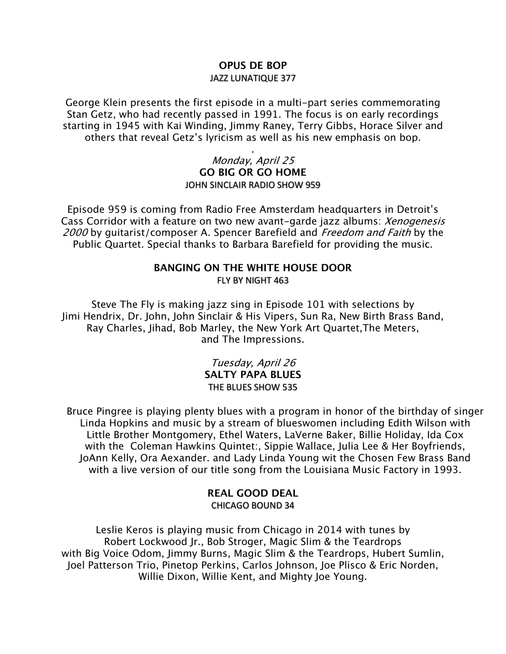### **OPUS DE BOP** JAZZ LUNATIQUE 377

George Klein presents the first episode in a multi-part series commemorating Stan Getz, who had recently passed in 1991. The focus is on early recordings starting in 1945 with Kai Winding, Jimmy Raney, Terry Gibbs, Horace Silver and others that reveal Getz's lyricism as well as his new emphasis on bop.

#### . Monday, April 25 **GO BIG OR GO HOME** JOHN SINCLAIR RADIO SHOW 959

Episode 959 is coming from Radio Free Amsterdam headquarters in Detroit's Cass Corridor with a feature on two new avant-garde jazz albums: *Xenogenesis* 2000 by quitarist/composer A. Spencer Barefield and Freedom and Faith by the Public Quartet. Special thanks to Barbara Barefield for providing the music.

### **BANGING ON THE WHITE HOUSE DOOR** FLY BY NIGHT 463

Steve The Fly is making jazz sing in Episode 101 with selections by Jimi Hendrix, Dr. John, John Sinclair & His Vipers, Sun Ra, New Birth Brass Band, Ray Charles, Jihad, Bob Marley, the New York Art Quartet,The Meters, and The Impressions.

#### Tuesday, April 26 **SALTY PAPA BLUES** THE BLUES SHOW 535

Bruce Pingree is playing plenty blues with a program in honor of the birthday of singer Linda Hopkins and music by a stream of blueswomen including Edith Wilson with Little Brother Montgomery, Ethel Waters, LaVerne Baker, Billie Holiday, Ida Cox with the Coleman Hawkins Quintet:, Sippie Wallace, Julia Lee & Her Boyfriends, JoAnn Kelly, Ora Aexander. and Lady Linda Young wit the Chosen Few Brass Band with a live version of our title song from the Louisiana Music Factory in 1993.

#### **REAL GOOD DEAL** CHICAGO BOUND 34

Leslie Keros is playing music from Chicago in 2014 with tunes by Robert Lockwood Jr., Bob Stroger, Magic Slim & the Teardrops with Big Voice Odom, Jimmy Burns, Magic Slim & the Teardrops, Hubert Sumlin, Joel Patterson Trio, Pinetop Perkins, Carlos Johnson, Joe Plisco & Eric Norden, Willie Dixon, Willie Kent, and Mighty Joe Young.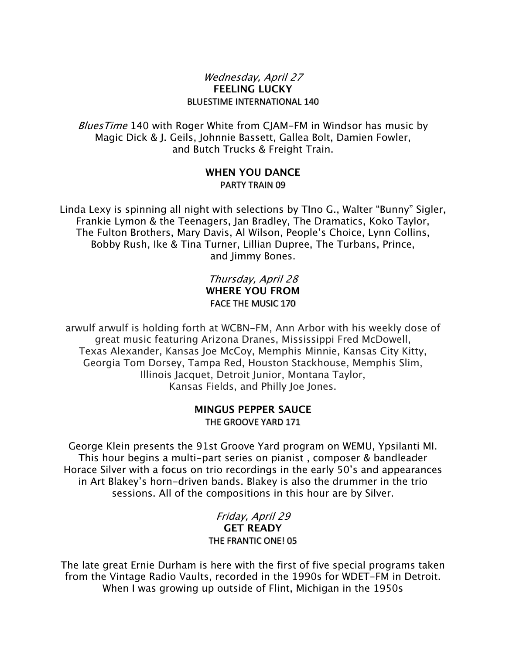#### Wednesday, April 27 **FEELING LUCKY** BLUESTIME INTERNATIONAL 140

Blues Time 140 with Roger White from CJAM-FM in Windsor has music by Magic Dick & J. Geils, Johnnie Bassett, Gallea Bolt, Damien Fowler, and Butch Trucks & Freight Train.

#### **WHEN YOU DANCE** PARTY TRAIN 09

Linda Lexy is spinning all night with selections by TIno G., Walter "Bunny" Sigler, Frankie Lymon & the Teenagers, Jan Bradley, The Dramatics, Koko Taylor, The Fulton Brothers, Mary Davis, Al Wilson, People's Choice, Lynn Collins, Bobby Rush, Ike & Tina Turner, Lillian Dupree, The Turbans, Prince, and Jimmy Bones.

### Thursday, April 28 **WHERE YOU FROM** FACE THE MUSIC 170

arwulf arwulf is holding forth at WCBN-FM, Ann Arbor with his weekly dose of great music featuring Arizona Dranes, Mississippi Fred McDowell, Texas Alexander, Kansas Joe McCoy, Memphis Minnie, Kansas City Kitty, Georgia Tom Dorsey, Tampa Red, Houston Stackhouse, Memphis Slim, Illinois Jacquet, Detroit Junior, Montana Taylor, Kansas Fields, and Philly Joe Jones.

### **MINGUS PEPPER SAUCE** THE GROOVE YARD 171

George Klein presents the 91st Groove Yard program on WEMU, Ypsilanti MI. This hour begins a multi-part series on pianist , composer & bandleader Horace Silver with a focus on trio recordings in the early 50's and appearances in Art Blakey's horn-driven bands. Blakey is also the drummer in the trio sessions. All of the compositions in this hour are by Silver.

#### Friday, April 29 **GET READY** THE FRANTIC ONE! 05

The late great Ernie Durham is here with the first of five special programs taken from the Vintage Radio Vaults, recorded in the 1990s for WDET-FM in Detroit. When I was growing up outside of Flint, Michigan in the 1950s